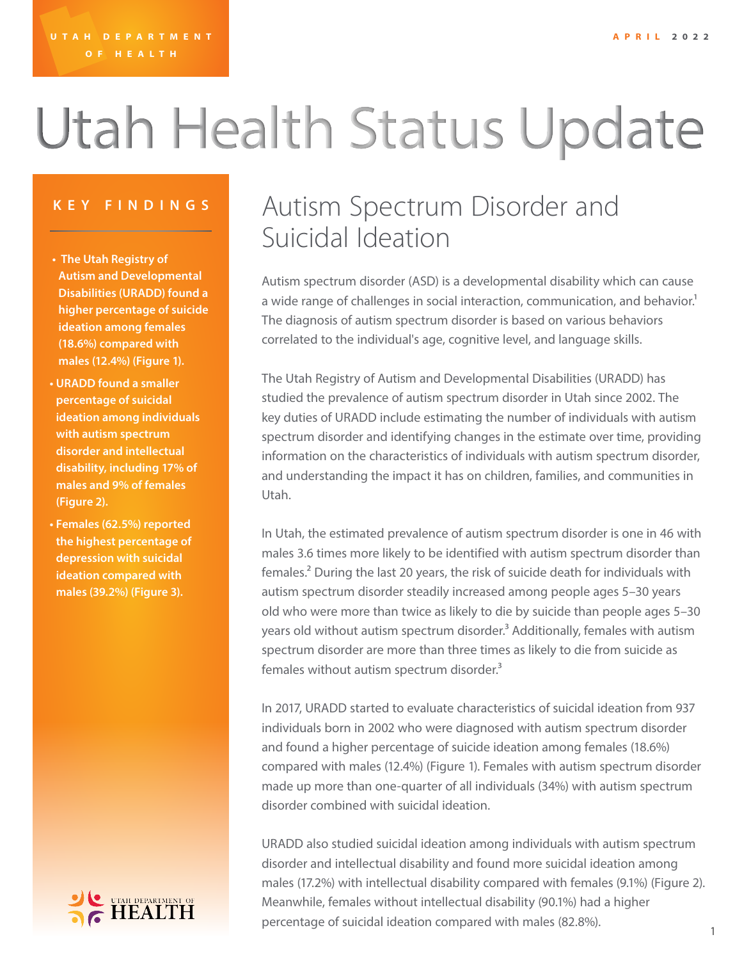# Utah Health Status Update

- **• The Utah Registry of Autism and Developmental Disabilities (URADD) found a higher percentage of suicide ideation among females (18.6%) compared with males (12.4%) (Figure 1).**
- **• URADD found a smaller percentage of suicidal ideation among individuals with autism spectrum disorder and intellectual disability, including 17% of males and 9% of females (Figure 2).**
- **• Females (62.5%) reported the highest percentage of depression with suicidal ideation compared with males (39.2%) (Figure 3).**

### UTAH DEPARTMENT OF

### **KEY FINDINGS** Autism Spectrum Disorder and Suicidal Ideation

Autism spectrum disorder (ASD) is a developmental disability which can cause a wide range of challenges in social interaction, communication, and behavior.<sup>1</sup> The diagnosis of autism spectrum disorder is based on various behaviors correlated to the individual's age, cognitive level, and language skills.

The Utah Registry of Autism and Developmental Disabilities (URADD) has studied the prevalence of autism spectrum disorder in Utah since 2002. The key duties of URADD include estimating the number of individuals with autism spectrum disorder and identifying changes in the estimate over time, providing information on the characteristics of individuals with autism spectrum disorder, and understanding the impact it has on children, families, and communities in Utah.

In Utah, the estimated prevalence of autism spectrum disorder is one in 46 with males 3.6 times more likely to be identified with autism spectrum disorder than females.2 During the last 20 years, the risk of suicide death for individuals with autism spectrum disorder steadily increased among people ages 5–30 years old who were more than twice as likely to die by suicide than people ages 5–30 years old without autism spectrum disorder.<sup>3</sup> Additionally, females with autism spectrum disorder are more than three times as likely to die from suicide as females without autism spectrum disorder.<sup>3</sup>

In 2017, URADD started to evaluate characteristics of suicidal ideation from 937 individuals born in 2002 who were diagnosed with autism spectrum disorder and found a higher percentage of suicide ideation among females (18.6%) compared with males (12.4%) (Figure 1). Females with autism spectrum disorder made up more than one-quarter of all individuals (34%) with autism spectrum disorder combined with suicidal ideation.

URADD also studied suicidal ideation among individuals with autism spectrum disorder and intellectual disability and found more suicidal ideation among males (17.2%) with intellectual disability compared with females (9.1%) (Figure 2). Meanwhile, females without intellectual disability (90.1%) had a higher percentage of suicidal ideation compared with males (82.8%).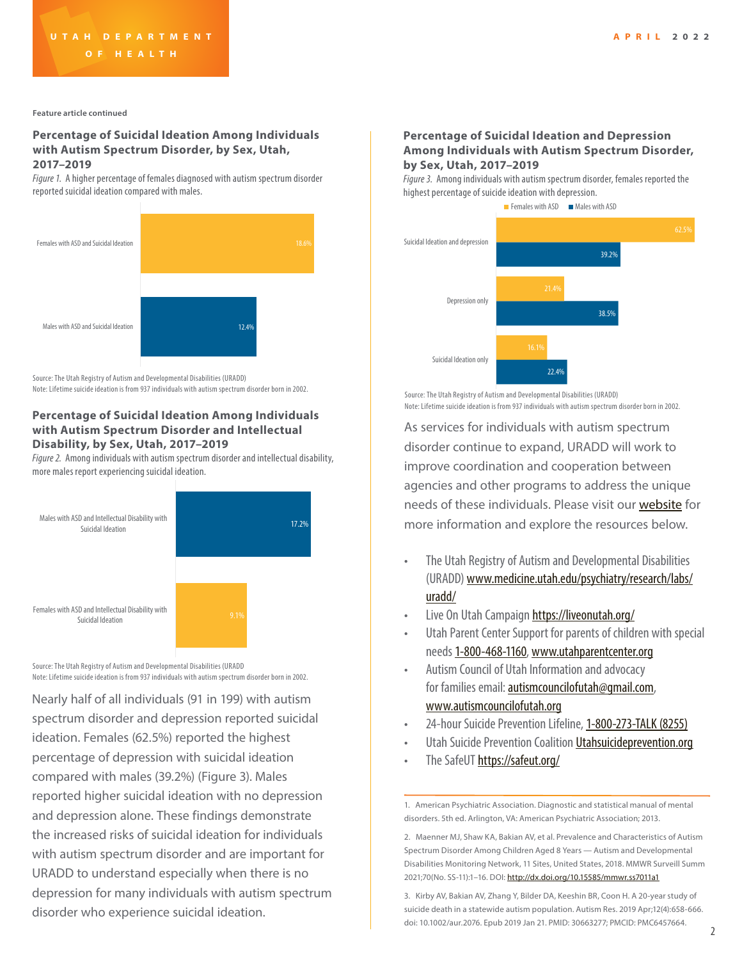**Feature article continued**

#### **Percentage of Suicidal Ideation Among Individuals with Autism Spectrum Disorder, by Sex, Utah, 2017–2019**

*Figure 1.* A higher percentage of females diagnosed with autism spectrum disorder reported suicidal ideation compared with males.



Source: The Utah Registry of Autism and Developmental Disabilities (URADD)

Note: Lifetime suicide ideation is from 937 individuals with autism spectrum disorder born in 2002.

#### **Percentage of Suicidal Ideation Among Individuals with Autism Spectrum Disorder and Intellectual Disability, by Sex, Utah, 2017–2019**

*Figure 2.* Among individuals with autism spectrum disorder and intellectual disability, more males report experiencing suicidal ideation.



Source: The Utah Registry of Autism and Developmental Disabilities (URADD Note: Lifetime suicide ideation is from 937 individuals with autism spectrum disorder born in 2002.

Nearly half of all individuals (91 in 199) with autism spectrum disorder and depression reported suicidal ideation. Females (62.5%) reported the highest percentage of depression with suicidal ideation compared with males (39.2%) (Figure 3). Males reported higher suicidal ideation with no depression and depression alone. These findings demonstrate the increased risks of suicidal ideation for individuals with autism spectrum disorder and are important for URADD to understand especially when there is no depression for many individuals with autism spectrum disorder who experience suicidal ideation.

#### **Percentage of Suicidal Ideation and Depression Among Individuals with Autism Spectrum Disorder, by Sex, Utah, 2017–2019**

*Figure 3.* Among individuals with autism spectrum disorder, females reported the highest percentage of suicide ideation with depression.



Source: The Utah Registry of Autism and Developmental Disabilities (URADD) Note: Lifetime suicide ideation is from 937 individuals with autism spectrum disorder born in 2002.

As services for individuals with autism spectrum disorder continue to expand, URADD will work to improve coordination and cooperation between agencies and other programs to address the unique needs of these individuals. Please visit our [website](http://www.medicine.utah.edu/psychiatry/research/labs/uradd/) for more information and explore the resources below.

- The Utah Registry of Autism and Developmental Disabilities (URADD) www.medicine.utah.edu/psychiatry/research/labs/ uradd/
- Live On Utah Campaign<https://liveonutah.org/>
- Utah Parent Center Support for parents of children with special needs 1-800-468-1160, www.utahparentcenter.org
- Autism Council of Utah Information and advocacy for families email: [autismcouncilofutah@gmail.com,](mailto:autismcouncilofutah%40gmail.com?subject=email) [www.autismcouncilofutah.org](mailto:www.autismcouncilofutah.org?subject=)
- 24-hour Suicide Prevention Lifeline, 1-800-273-TALK (8255)
- Utah Suicide Prevention Coalition *Utahsuicideprevention.org*
- The SafeUT<https://safeut.org/>

3. Kirby AV, Bakian AV, Zhang Y, Bilder DA, Keeshin BR, Coon H. A 20-year study of suicide death in a statewide autism population. Autism Res. 2019 Apr;12(4):658-666. doi: 10.1002/aur.2076. Epub 2019 Jan 21. PMID: 30663277; PMCID: PMC6457664.

<sup>1.</sup> American Psychiatric Association. Diagnostic and statistical manual of mental disorders. 5th ed. Arlington, VA: American Psychiatric Association; 2013.

<sup>2.</sup> Maenner MJ, Shaw KA, Bakian AV, et al. Prevalence and Characteristics of Autism Spectrum Disorder Among Children Aged 8 Years — Autism and Developmental Disabilities Monitoring Network, 11 Sites, United States, 2018. MMWR Surveill Summ 2021;70(No. SS-11):1–16. DOI: <http://dx.doi.org/10.15585/mmwr.ss7011a1>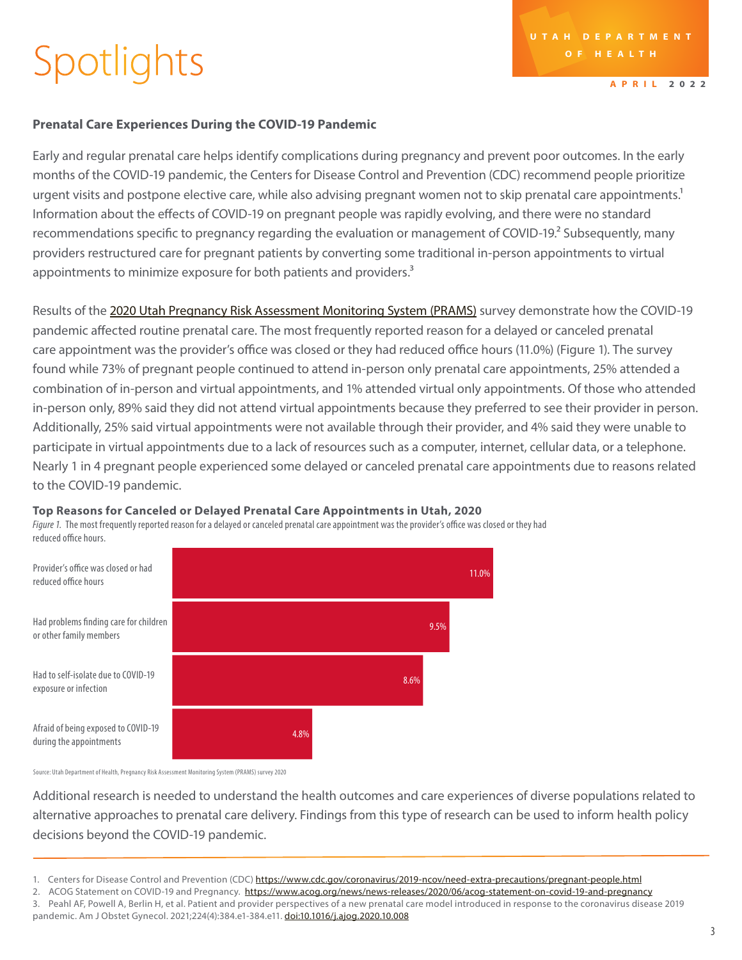## Spotlights

**APRIL 2022**

### **Prenatal Care Experiences During the COVID-19 Pandemic**

Early and regular prenatal care helps identify complications during pregnancy and prevent poor outcomes. In the early months of the COVID-19 pandemic, the Centers for Disease Control and Prevention (CDC) recommend people prioritize urgent visits and postpone elective care, while also advising pregnant women not to skip prenatal care appointments.<sup>1</sup> Information about the effects of COVID-19 on pregnant people was rapidly evolving, and there were no standard recommendations specific to pregnancy regarding the evaluation or management of COVID-19.<sup>2</sup> Subsequently, many providers restructured care for pregnant patients by converting some traditional in-person appointments to virtual appointments to minimize exposure for both patients and providers.<sup>3</sup>

Results of the [2020 Utah Pregnancy Risk Assessment Monitoring System \(PRAMS\)](https://mihp.utah.gov/pregnancy-and-risk-assessment) survey demonstrate how the COVID-19 pandemic affected routine prenatal care. The most frequently reported reason for a delayed or canceled prenatal care appointment was the provider's office was closed or they had reduced office hours (11.0%) (Figure 1). The survey found while 73% of pregnant people continued to attend in-person only prenatal care appointments, 25% attended a combination of in-person and virtual appointments, and 1% attended virtual only appointments. Of those who attended in-person only, 89% said they did not attend virtual appointments because they preferred to see their provider in person. Additionally, 25% said virtual appointments were not available through their provider, and 4% said they were unable to participate in virtual appointments due to a lack of resources such as a computer, internet, cellular data, or a telephone. Nearly 1 in 4 pregnant people experienced some delayed or canceled prenatal care appointments due to reasons related to the COVID-19 pandemic.

#### **Top Reasons for Canceled or Delayed Prenatal Care Appointments in Utah, 2020**

*Figure 1.* The most frequently reported reason for a delayed or canceled prenatal care appointment was the provider's office was closed or they had reduced office hours.



Source: Utah Department of Health, Pregnancy Risk Assessment Monitoring System (PRAMS) survey 2020

Additional research is needed to understand the health outcomes and care experiences of diverse populations related to alternative approaches to prenatal care delivery. Findings from this type of research can be used to inform health policy decisions beyond the COVID-19 pandemic.

2. ACOG Statement on COVID-19 and Pregnancy. [https://www.acog.org/news/news-releases/2020/06/acog-statement-on-covid-19-and-pregnancy](https://www.acog.org/news/news-releases/2020/06/acog-statement-on-covid-19-and-pregnancy )

pandemic. Am J Obstet Gynecol. 2021;224(4):384.e1-384.e11. <doi:10.1016/j.ajog.2020.10.008>

<sup>1.</sup> Centers for Disease Control and Prevention (CDC) [https://www.cdc.gov/coronavirus/2019-ncov/need-extra-precautions/pregnant-people.html](https://www.cdc.gov/coronavirus/2019-ncov/need-extra-precautions/pregnant-people.html )

<sup>3.</sup> Peahl AF, Powell A, Berlin H, et al. Patient and provider perspectives of a new prenatal care model introduced in response to the coronavirus disease 2019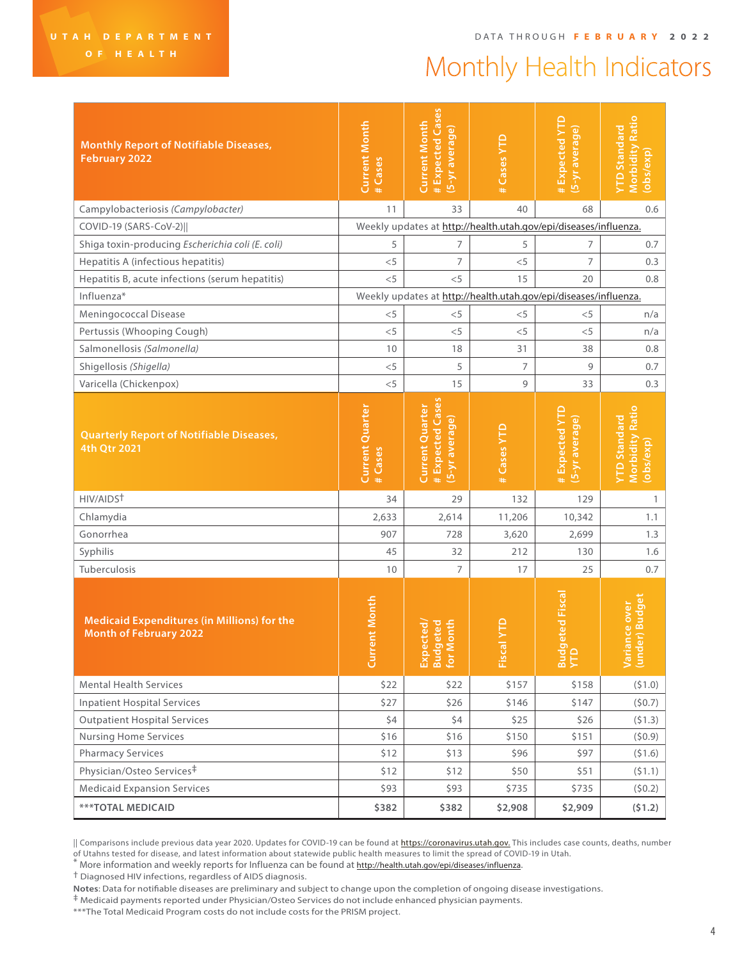### Monthly Health Indicators

| <b>Monthly Report of Notifiable Diseases,</b><br><b>February 2022</b>               | <b>Current Month</b><br># Cases                                  | # Expected Cases<br><b>Current Month</b><br>(5-yr average)          | #Cases YTD     | #Expected YTD<br>(5-yr average)                                  | <b>Morbidity Ratio</b><br>YTD Standard<br>(obs/exp)        |  |  |
|-------------------------------------------------------------------------------------|------------------------------------------------------------------|---------------------------------------------------------------------|----------------|------------------------------------------------------------------|------------------------------------------------------------|--|--|
| Campylobacteriosis (Campylobacter)                                                  | 11                                                               | 33                                                                  | 40             | 68                                                               | 0.6                                                        |  |  |
| COVID-19 (SARS-CoV-2)                                                               |                                                                  |                                                                     |                | Weekly updates at http://health.utah.gov/epi/diseases/influenza. |                                                            |  |  |
| Shiga toxin-producing Escherichia coli (E. coli)                                    | 5                                                                | 7                                                                   | 5              | 7                                                                | 0.7                                                        |  |  |
| Hepatitis A (infectious hepatitis)                                                  | $<$ 5                                                            | 7                                                                   | < 5            | 7                                                                | 0.3                                                        |  |  |
| Hepatitis B, acute infections (serum hepatitis)                                     | $<$ 5                                                            | < 5                                                                 | 15             | 20                                                               | 0.8                                                        |  |  |
| Influenza*                                                                          | Weekly updates at http://health.utah.gov/epi/diseases/influenza. |                                                                     |                |                                                                  |                                                            |  |  |
| Meningococcal Disease                                                               | $<$ 5                                                            | $<$ 5                                                               | $<$ 5          | $<$ 5                                                            | n/a                                                        |  |  |
| Pertussis (Whooping Cough)                                                          | $<$ 5                                                            | $<$ 5                                                               | < 5            | $<$ 5                                                            | n/a                                                        |  |  |
| Salmonellosis (Salmonella)                                                          | 10                                                               | 18                                                                  | 31             | 38                                                               | 0.8                                                        |  |  |
| Shigellosis (Shigella)                                                              | $<$ 5                                                            | 5                                                                   | $\overline{7}$ | 9                                                                | 0.7                                                        |  |  |
| Varicella (Chickenpox)                                                              | $<$ 5                                                            | 15                                                                  | 9              | 33                                                               | 0.3                                                        |  |  |
| <b>Quarterly Report of Notifiable Diseases,</b><br>4th Qtr 2021                     | <b>Current Quarter</b><br>#Cases                                 | # Expected Cases<br><b>Current Quarter</b><br><u>(5-yr average)</u> | # Cases YTD    | #Expected YTD<br>(5-yr average)                                  | <b>Morbidity Ratio</b><br><b>YTD Standard</b><br>(obs/exp) |  |  |
| HIV/AIDST                                                                           | 34                                                               | 29                                                                  | 132            | 129                                                              | $\mathbf{1}$                                               |  |  |
| Chlamydia                                                                           | 2,633                                                            | 2,614                                                               | 11,206         | 10,342                                                           | 1.1                                                        |  |  |
| Gonorrhea                                                                           | 907                                                              | 728                                                                 | 3,620          | 2,699                                                            | 1.3                                                        |  |  |
| Syphilis                                                                            | 45                                                               | 32                                                                  | 212            | 130                                                              | 1.6                                                        |  |  |
| Tuberculosis                                                                        | 10                                                               | $\overline{7}$                                                      | 17             | 25                                                               | 0.7                                                        |  |  |
| <b>Medicaid Expenditures (in Millions) for the</b><br><b>Month of February 2022</b> | ent Month<br>Curr                                                | onth<br>eted<br>cted                                                | Fiscal         | eted Fisca<br><b>Bud</b><br>YTD                                  | er) Budget<br>Variance over<br>(under) Budge               |  |  |
| <b>Mental Health Services</b>                                                       | \$22                                                             | \$22                                                                | \$157          | \$158                                                            | (51.0)                                                     |  |  |
| <b>Inpatient Hospital Services</b>                                                  | \$27                                                             | \$26                                                                | \$146          | \$147                                                            | (50.7)                                                     |  |  |
| <b>Outpatient Hospital Services</b>                                                 | \$4                                                              | \$4                                                                 | \$25           | \$26                                                             | (51.3)                                                     |  |  |
| <b>Nursing Home Services</b>                                                        | \$16                                                             | \$16                                                                | \$150          | \$151                                                            | (50.9)                                                     |  |  |
| <b>Pharmacy Services</b>                                                            | \$12                                                             | \$13                                                                | \$96           | \$97                                                             | (51.6)                                                     |  |  |
| Physician/Osteo Services <sup>‡</sup>                                               | \$12                                                             | \$12                                                                | \$50           | \$51                                                             | (51.1)                                                     |  |  |
| <b>Medicaid Expansion Services</b>                                                  | \$93                                                             | \$93                                                                | \$735          | \$735                                                            | (50.2)                                                     |  |  |
| <b>***TOTAL MEDICAID</b>                                                            | \$382                                                            | \$382                                                               | \$2,908        | \$2,909                                                          | (51.2)                                                     |  |  |

<sup>||</sup> Comparisons include previous data year 2020. Updates for COVID-19 can be found at **[https://coronavirus.utah.gov.](https://coronavirus.utah.gov)** This includes case counts, deaths, number of Utahns tested for disease, and latest information about statewide public health measures to limit the spread of COVID-19 in Utah.

\* More information and weekly reports for Influenza can be found at<http://health.utah.gov/epi/diseases/influenza>.<br>† Diagnosed HIV infections, regardless of AIDS diagnosis.

**Notes**: Data for notifiable diseases are preliminary and subject to change upon the completion of ongoing disease investigations.

‡ Medicaid payments reported under Physician/Osteo Services do not include enhanced physician payments.

\*\*\*The Total Medicaid Program costs do not include costs for the PRISM project.